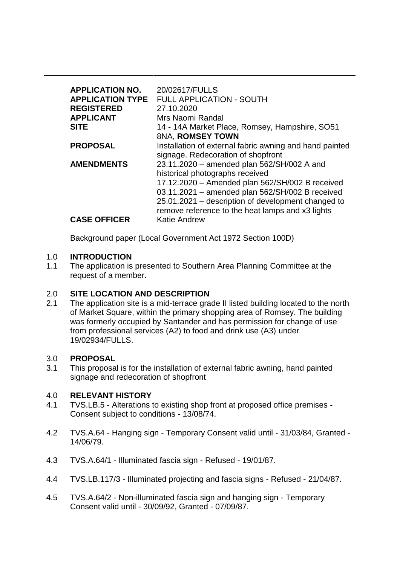| <b>APPLICATION NO.</b><br><b>APPLICATION TYPE</b><br><b>REGISTERED</b><br><b>APPLICANT</b><br><b>SITE</b> | 20/02617/FULLS<br><b>FULL APPLICATION - SOUTH</b><br>27.10.2020<br>Mrs Naomi Randal                                                                                                                                                                                                           |
|-----------------------------------------------------------------------------------------------------------|-----------------------------------------------------------------------------------------------------------------------------------------------------------------------------------------------------------------------------------------------------------------------------------------------|
|                                                                                                           | 14 - 14A Market Place, Romsey, Hampshire, SO51<br>8NA, ROMSEY TOWN                                                                                                                                                                                                                            |
| <b>PROPOSAL</b>                                                                                           | Installation of external fabric awning and hand painted<br>signage. Redecoration of shopfront                                                                                                                                                                                                 |
| <b>AMENDMENTS</b>                                                                                         | 23.11.2020 - amended plan 562/SH/002 A and<br>historical photographs received<br>17.12.2020 - Amended plan 562/SH/002 B received<br>03.11.2021 - amended plan 562/SH/002 B received<br>25.01.2021 – description of development changed to<br>remove reference to the heat lamps and x3 lights |
| <b>CASE OFFICER</b>                                                                                       | <b>Katie Andrew</b>                                                                                                                                                                                                                                                                           |

Background paper (Local Government Act 1972 Section 100D)

### 1.0 **INTRODUCTION**

1.1 The application is presented to Southern Area Planning Committee at the request of a member.

### 2.0 **SITE LOCATION AND DESCRIPTION**

2.1 The application site is a mid-terrace grade II listed building located to the north of Market Square, within the primary shopping area of Romsey. The building was formerly occupied by Santander and has permission for change of use from professional services (A2) to food and drink use (A3) under 19/02934/FULLS.

### 3.0 **PROPOSAL**

3.1 This proposal is for the installation of external fabric awning, hand painted signage and redecoration of shopfront

## 4.0 **RELEVANT HISTORY**

- 4.1 TVS.LB.5 Alterations to existing shop front at proposed office premises Consent subject to conditions - 13/08/74.
- 4.2 TVS.A.64 Hanging sign Temporary Consent valid until 31/03/84, Granted 14/06/79.
- 4.3 TVS.A.64/1 Illuminated fascia sign Refused 19/01/87.
- 4.4 TVS.LB.117/3 Illuminated projecting and fascia signs Refused 21/04/87.
- 4.5 TVS.A.64/2 Non-illuminated fascia sign and hanging sign Temporary Consent valid until - 30/09/92, Granted - 07/09/87.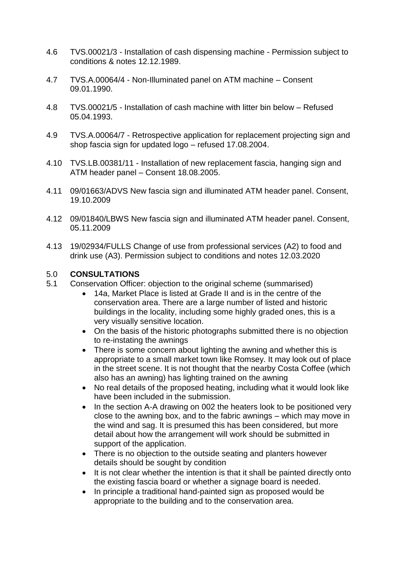- 4.6 TVS.00021/3 Installation of cash dispensing machine Permission subject to conditions & notes 12.12.1989.
- 4.7 TVS.A.00064/4 Non-Illuminated panel on ATM machine Consent 09.01.1990.
- 4.8 TVS.00021/5 Installation of cash machine with litter bin below Refused 05.04.1993.
- 4.9 TVS.A.00064/7 Retrospective application for replacement projecting sign and shop fascia sign for updated logo – refused 17.08.2004.
- 4.10 TVS.LB.00381/11 Installation of new replacement fascia, hanging sign and ATM header panel – Consent 18.08.2005.
- 4.11 09/01663/ADVS New fascia sign and illuminated ATM header panel. Consent, 19.10.2009
- 4.12 09/01840/LBWS New fascia sign and illuminated ATM header panel. Consent, 05.11.2009
- 4.13 19/02934/FULLS Change of use from professional services (A2) to food and drink use (A3). Permission subject to conditions and notes 12.03.2020

### 5.0 **CONSULTATIONS**

- 5.1 Conservation Officer: objection to the original scheme (summarised)
	- 14a, Market Place is listed at Grade II and is in the centre of the conservation area. There are a large number of listed and historic buildings in the locality, including some highly graded ones, this is a very visually sensitive location.
	- On the basis of the historic photographs submitted there is no objection to re-instating the awnings
	- There is some concern about lighting the awning and whether this is appropriate to a small market town like Romsey. It may look out of place in the street scene. It is not thought that the nearby Costa Coffee (which also has an awning) has lighting trained on the awning
	- No real details of the proposed heating, including what it would look like have been included in the submission.
	- In the section A-A drawing on 002 the heaters look to be positioned very close to the awning box, and to the fabric awnings – which may move in the wind and sag. It is presumed this has been considered, but more detail about how the arrangement will work should be submitted in support of the application.
	- There is no objection to the outside seating and planters however details should be sought by condition
	- It is not clear whether the intention is that it shall be painted directly onto the existing fascia board or whether a signage board is needed.
	- In principle a traditional hand-painted sign as proposed would be appropriate to the building and to the conservation area.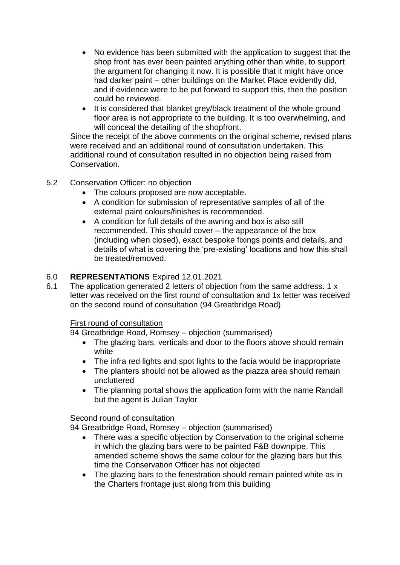- No evidence has been submitted with the application to suggest that the shop front has ever been painted anything other than white, to support the argument for changing it now. It is possible that it might have once had darker paint – other buildings on the Market Place evidently did, and if evidence were to be put forward to support this, then the position could be reviewed.
- It is considered that blanket grey/black treatment of the whole ground floor area is not appropriate to the building. It is too overwhelming, and will conceal the detailing of the shopfront.

Since the receipt of the above comments on the original scheme, revised plans were received and an additional round of consultation undertaken. This additional round of consultation resulted in no objection being raised from Conservation.

## 5.2 Conservation Officer: no objection

- The colours proposed are now acceptable.
- A condition for submission of representative samples of all of the external paint colours/finishes is recommended.
- A condition for full details of the awning and box is also still recommended. This should cover – the appearance of the box (including when closed), exact bespoke fixings points and details, and details of what is covering the 'pre-existing' locations and how this shall be treated/removed.

# 6.0 **REPRESENTATIONS** Expired 12.01.2021

6.1 The application generated 2 letters of objection from the same address. 1 x letter was received on the first round of consultation and 1x letter was received on the second round of consultation (94 Greatbridge Road)

## First round of consultation

94 Greatbridge Road, Romsey – objection (summarised)

- The glazing bars, verticals and door to the floors above should remain white
- The infra red lights and spot lights to the facia would be inappropriate
- The planters should not be allowed as the piazza area should remain uncluttered
- The planning portal shows the application form with the name Randall but the agent is Julian Taylor

## Second round of consultation

94 Greatbridge Road, Romsey – objection (summarised)

- There was a specific objection by Conservation to the original scheme in which the glazing bars were to be painted F&B downpipe. This amended scheme shows the same colour for the glazing bars but this time the Conservation Officer has not objected
- The glazing bars to the fenestration should remain painted white as in the Charters frontage just along from this building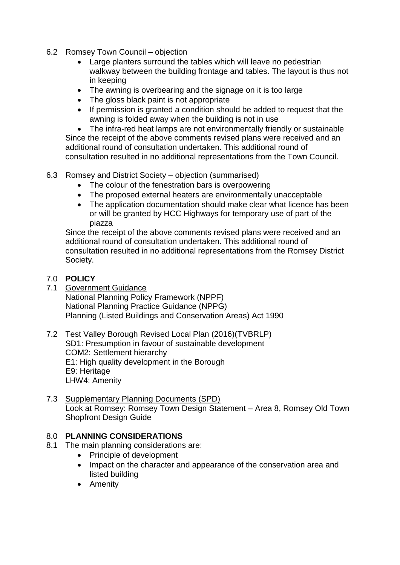- 6.2 Romsey Town Council objection
	- Large planters surround the tables which will leave no pedestrian walkway between the building frontage and tables. The layout is thus not in keeping
	- The awning is overbearing and the signage on it is too large
	- The gloss black paint is not appropriate
	- If permission is granted a condition should be added to request that the awning is folded away when the building is not in use

• The infra-red heat lamps are not environmentally friendly or sustainable Since the receipt of the above comments revised plans were received and an additional round of consultation undertaken. This additional round of consultation resulted in no additional representations from the Town Council.

- 6.3 Romsey and District Society objection (summarised)
	- The colour of the fenestration bars is overpowering
	- The proposed external heaters are environmentally unacceptable
	- The application documentation should make clear what licence has been or will be granted by HCC Highways for temporary use of part of the piazza

Since the receipt of the above comments revised plans were received and an additional round of consultation undertaken. This additional round of consultation resulted in no additional representations from the Romsey District Society.

### 7.0 **POLICY**

7.1 Government Guidance National Planning Policy Framework (NPPF) National Planning Practice Guidance (NPPG) Planning (Listed Buildings and Conservation Areas) Act 1990

#### 7.2 Test Valley Borough Revised Local Plan (2016)(TVBRLP) SD1: Presumption in favour of sustainable development COM2: Settlement hierarchy E1: High quality development in the Borough E9: Heritage LHW4: Amenity

7.3 Supplementary Planning Documents (SPD) Look at Romsey: Romsey Town Design Statement – Area 8, Romsey Old Town Shopfront Design Guide

## 8.0 **PLANNING CONSIDERATIONS**

- 8.1 The main planning considerations are:
	- Principle of development
		- Impact on the character and appearance of the conservation area and listed building
		- Amenity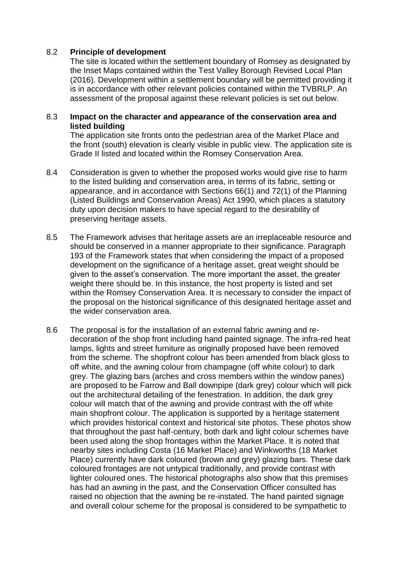### 8.2 **Principle of development**

The site is located within the settlement boundary of Romsey as designated by the Inset Maps contained within the Test Valley Borough Revised Local Plan (2016). Development within a settlement boundary will be permitted providing it is in accordance with other relevant policies contained within the TVBRLP. An assessment of the proposal against these relevant policies is set out below.

### 8.3 **Impact on the character and appearance of the conservation area and listed building**

The application site fronts onto the pedestrian area of the Market Place and the front (south) elevation is clearly visible in public view. The application site is Grade II listed and located within the Romsey Conservation Area.

- 8.4 Consideration is given to whether the proposed works would give rise to harm to the listed building and conservation area, in terms of its fabric, setting or appearance, and in accordance with Sections 66(1) and 72(1) of the Planning (Listed Buildings and Conservation Areas) Act 1990, which places a statutory duty upon decision makers to have special regard to the desirability of preserving heritage assets.
- 8.5 The Framework advises that heritage assets are an irreplaceable resource and should be conserved in a manner appropriate to their significance. Paragraph 193 of the Framework states that when considering the impact of a proposed development on the significance of a heritage asset, great weight should be given to the asset's conservation. The more important the asset, the greater weight there should be. In this instance, the host property is listed and set within the Romsey Conservation Area. It is necessary to consider the impact of the proposal on the historical significance of this designated heritage asset and the wider conservation area.
- 8.6 The proposal is for the installation of an external fabric awning and redecoration of the shop front including hand painted signage. The infra-red heat lamps, lights and street furniture as originally proposed have been removed from the scheme. The shopfront colour has been amended from black gloss to off white, and the awning colour from champagne (off white colour) to dark grey. The glazing bars (arches and cross members within the window panes) are proposed to be Farrow and Ball downpipe (dark grey) colour which will pick out the architectural detailing of the fenestration. In addition, the dark grey colour will match that of the awning and provide contrast with the off white main shopfront colour. The application is supported by a heritage statement which provides historical context and historical site photos. These photos show that throughout the past half-century, both dark and light colour schemes have been used along the shop frontages within the Market Place. It is noted that nearby sites including Costa (16 Market Place) and Winkworths (18 Market Place) currently have dark coloured (brown and grey) glazing bars. These dark coloured frontages are not untypical traditionally, and provide contrast with lighter coloured ones. The historical photographs also show that this premises has had an awning in the past, and the Conservation Officer consulted has raised no objection that the awning be re-instated. The hand painted signage and overall colour scheme for the proposal is considered to be sympathetic to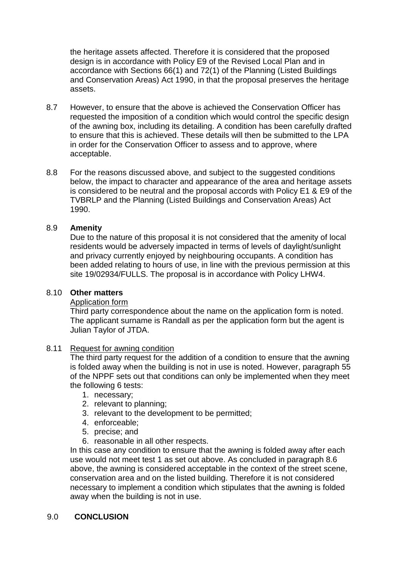the heritage assets affected. Therefore it is considered that the proposed design is in accordance with Policy E9 of the Revised Local Plan and in accordance with Sections 66(1) and 72(1) of the Planning (Listed Buildings and Conservation Areas) Act 1990, in that the proposal preserves the heritage assets.

- 8.7 However, to ensure that the above is achieved the Conservation Officer has requested the imposition of a condition which would control the specific design of the awning box, including its detailing. A condition has been carefully drafted to ensure that this is achieved. These details will then be submitted to the LPA in order for the Conservation Officer to assess and to approve, where acceptable.
- 8.8 For the reasons discussed above, and subject to the suggested conditions below, the impact to character and appearance of the area and heritage assets is considered to be neutral and the proposal accords with Policy E1 & E9 of the TVBRLP and the Planning (Listed Buildings and Conservation Areas) Act 1990.

### 8.9 **Amenity**

Due to the nature of this proposal it is not considered that the amenity of local residents would be adversely impacted in terms of levels of daylight/sunlight and privacy currently enjoyed by neighbouring occupants. A condition has been added relating to hours of use, in line with the previous permission at this site 19/02934/FULLS. The proposal is in accordance with Policy LHW4.

### 8.10 **Other matters**

### Application form

Third party correspondence about the name on the application form is noted. The applicant surname is Randall as per the application form but the agent is Julian Taylor of JTDA.

### 8.11 Request for awning condition

The third party request for the addition of a condition to ensure that the awning is folded away when the building is not in use is noted. However, paragraph 55 of the NPPF sets out that conditions can only be implemented when they meet the following 6 tests:

- 1. necessary;
- 2. relevant to planning;
- 3. relevant to the development to be permitted;
- 4. enforceable;
- 5. precise; and
- 6. reasonable in all other respects.

In this case any condition to ensure that the awning is folded away after each use would not meet test 1 as set out above. As concluded in paragraph 8.6 above, the awning is considered acceptable in the context of the street scene, conservation area and on the listed building. Therefore it is not considered necessary to implement a condition which stipulates that the awning is folded away when the building is not in use.

### 9.0 **CONCLUSION**